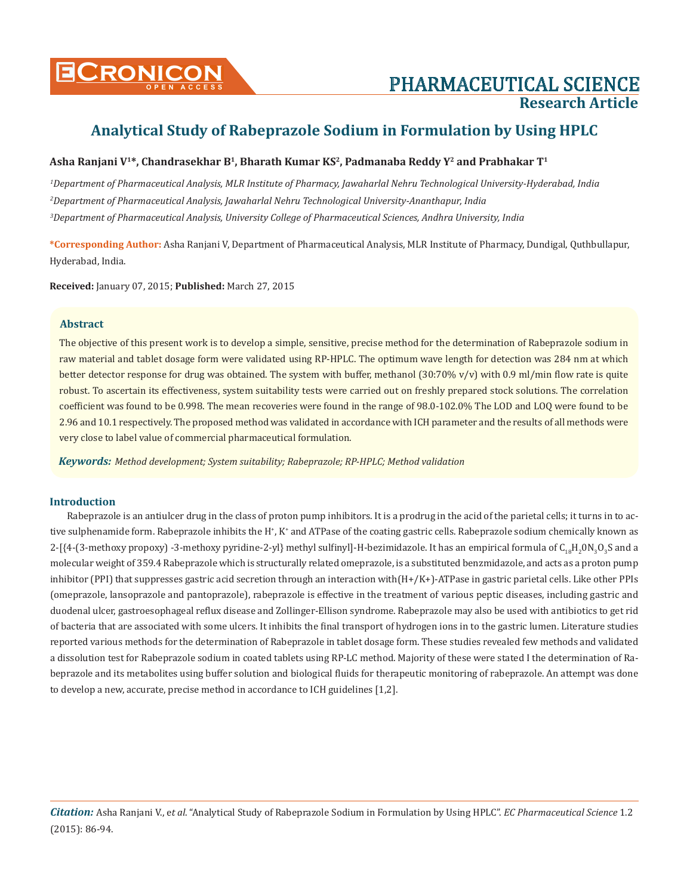# PHARMACEUTICAL SCIENCE **Research Article**

# **Analytical Study of Rabeprazole Sodium in Formulation by Using HPLC**

# **Asha Ranjani V1\*, Chandrasekhar B1, Bharath Kumar KS2, Padmanaba Reddy Y2 and Prabhakar T1**

*1 Department of Pharmaceutical Analysis, MLR Institute of Pharmacy, Jawaharlal Nehru Technological University-Hyderabad, India 2 Department of Pharmaceutical Analysis, Jawaharlal Nehru Technological University-Ananthapur, India 3 Department of Pharmaceutical Analysis, University College of Pharmaceutical Sciences, Andhra University, India*

**\*Corresponding Author:** Asha Ranjani V, Department of Pharmaceutical Analysis, MLR Institute of Pharmacy, Dundigal, Quthbullapur, Hyderabad, India.

**Received:** January 07, 2015; **Published:** March 27, 2015

## **Abstract**

The objective of this present work is to develop a simple, sensitive, precise method for the determination of Rabeprazole sodium in raw material and tablet dosage form were validated using RP-HPLC. The optimum wave length for detection was 284 nm at which better detector response for drug was obtained. The system with buffer, methanol  $(30:70\% \text{ v/v})$  with 0.9 ml/min flow rate is quite robust. To ascertain its effectiveness, system suitability tests were carried out on freshly prepared stock solutions. The correlation coefficient was found to be 0.998. The mean recoveries were found in the range of 98.0-102.0% The LOD and LOQ were found to be 2.96 and 10.1 respectively. The proposed method was validated in accordance with ICH parameter and the results of all methods were very close to label value of commercial pharmaceutical formulation.

*Keywords: Method development; System suitability; Rabeprazole; RP-HPLC; Method validation*

## **Introduction**

Rabeprazole is an antiulcer drug in the class of proton pump inhibitors. It is a prodrug in the acid of the parietal cells; it turns in to active sulphenamide form. Rabeprazole inhibits the H<sup>+</sup>, K<sup>+</sup> and ATPase of the coating gastric cells. Rabeprazole sodium chemically known as  $2$ -[{4-(3-methoxy propoxy) -3-methoxy pyridine-2-yl} methyl sulfinyl]-H-bezimidazole. It has an empirical formula of  $C_{18}H_20N_3O_3S$  and a molecular weight of 359.4 Rabeprazole which is structurally related omeprazole, is a substituted benzmidazole, and acts as a proton pump inhibitor (PPI) that suppresses gastric acid secretion through an interaction with(H+/K+)-ATPase in gastric parietal cells. Like other PPIs (omeprazole, lansoprazole and pantoprazole), rabeprazole is effective in the treatment of various peptic diseases, including gastric and duodenal ulcer, gastroesophageal reflux disease and Zollinger-Ellison syndrome. Rabeprazole may also be used with antibiotics to get rid of bacteria that are associated with some ulcers. It inhibits the final transport of hydrogen ions in to the gastric lumen. Literature studies reported various methods for the determination of Rabeprazole in tablet dosage form. These studies revealed few methods and validated a dissolution test for Rabeprazole sodium in coated tablets using RP-LC method. Majority of these were stated I the determination of Rabeprazole and its metabolites using buffer solution and biological fluids for therapeutic monitoring of rabeprazole. An attempt was done to develop a new, accurate, precise method in accordance to ICH guidelines [1,2].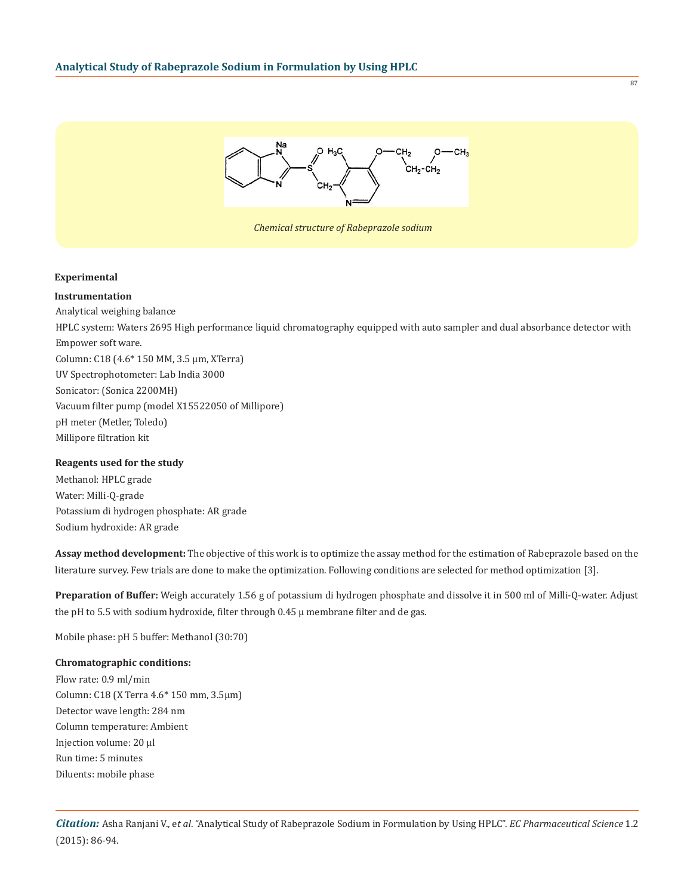

#### **Experimental**

**Instrumentation** Analytical weighing balance HPLC system: Waters 2695 High performance liquid chromatography equipped with auto sampler and dual absorbance detector with Empower soft ware. Column: C18 (4.6\* 150 MM, 3.5 µm, XTerra) UV Spectrophotometer: Lab India 3000 Sonicator: (Sonica 2200MH) Vacuum filter pump (model X15522050 of Millipore) pH meter (Metler, Toledo) Millipore filtration kit

#### **Reagents used for the study**

Methanol: HPLC grade Water: Milli-Q-grade Potassium di hydrogen phosphate: AR grade Sodium hydroxide: AR grade

**Assay method development:** The objective of this work is to optimize the assay method for the estimation of Rabeprazole based on the literature survey. Few trials are done to make the optimization. Following conditions are selected for method optimization [3].

**Preparation of Buffer:** Weigh accurately 1.56 g of potassium di hydrogen phosphate and dissolve it in 500 ml of Milli-Q-water. Adjust the pH to 5.5 with sodium hydroxide, filter through 0.45 µ membrane filter and de gas.

Mobile phase: pH 5 buffer: Methanol (30:70)

## **Chromatographic conditions:**

Flow rate: 0.9 ml/min Column: C18 (X Terra 4.6\* 150 mm, 3.5µm) Detector wave length: 284 nm Column temperature: Ambient Injection volume: 20 µl Run time: 5 minutes Diluents: mobile phase

87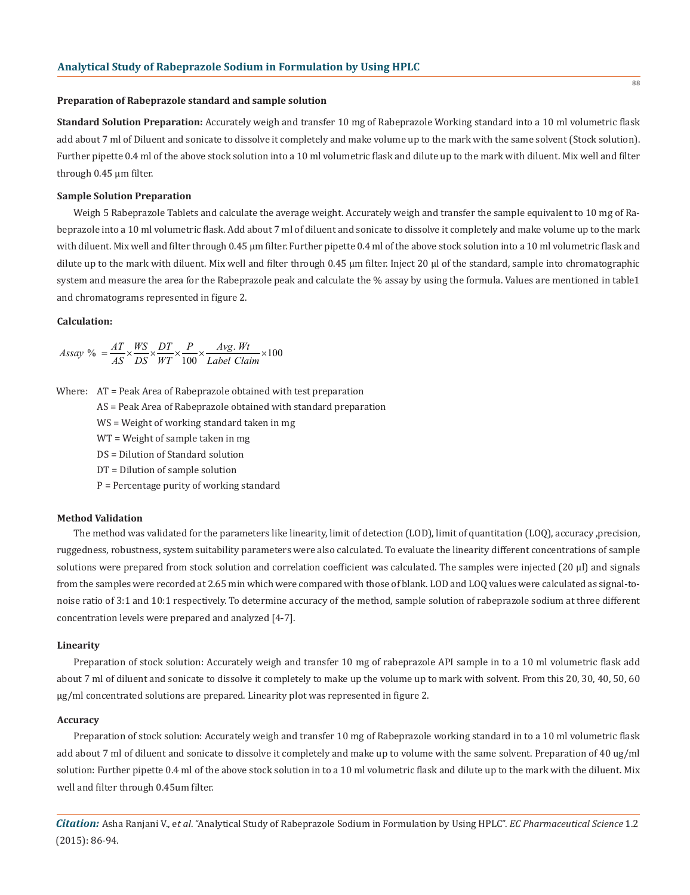#### **Preparation of Rabeprazole standard and sample solution**

**Standard Solution Preparation:** Accurately weigh and transfer 10 mg of Rabeprazole Working standard into a 10 ml volumetric flask add about 7 ml of Diluent and sonicate to dissolve it completely and make volume up to the mark with the same solvent (Stock solution). Further pipette 0.4 ml of the above stock solution into a 10 ml volumetric flask and dilute up to the mark with diluent. Mix well and filter through 0.45 µm filter.

88

#### **Sample Solution Preparation**

Weigh 5 Rabeprazole Tablets and calculate the average weight. Accurately weigh and transfer the sample equivalent to 10 mg of Rabeprazole into a 10 ml volumetric flask. Add about 7 ml of diluent and sonicate to dissolve it completely and make volume up to the mark with diluent. Mix well and filter through 0.45 µm filter. Further pipette 0.4 ml of the above stock solution into a 10 ml volumetric flask and dilute up to the mark with diluent. Mix well and filter through 0.45 µm filter. Inject 20 µl of the standard, sample into chromatographic system and measure the area for the Rabeprazole peak and calculate the % assay by using the formula. Values are mentioned in table1 and chromatograms represented in figure 2.

#### **Calculation:**

$$
Assay\ \% = \frac{AT}{AS} \times \frac{WS}{DS} \times \frac{DT}{WT} \times \frac{P}{100} \times \frac{Avg. Wt}{Label Claim} \times 100
$$

Where: AT = Peak Area of Rabeprazole obtained with test preparation

- AS = Peak Area of Rabeprazole obtained with standard preparation
- WS = Weight of working standard taken in mg
- WT = Weight of sample taken in mg
- DS = Dilution of Standard solution
- DT = Dilution of sample solution
- P = Percentage purity of working standard

#### **Method Validation**

The method was validated for the parameters like linearity, limit of detection (LOD), limit of quantitation (LOQ), accuracy ,precision, ruggedness, robustness, system suitability parameters were also calculated. To evaluate the linearity different concentrations of sample solutions were prepared from stock solution and correlation coefficient was calculated. The samples were injected  $(20 \mu l)$  and signals from the samples were recorded at 2.65 min which were compared with those of blank. LOD and LOQ values were calculated as signal-tonoise ratio of 3:1 and 10:1 respectively. To determine accuracy of the method, sample solution of rabeprazole sodium at three different concentration levels were prepared and analyzed [4-7].

#### **Linearity**

Preparation of stock solution: Accurately weigh and transfer 10 mg of rabeprazole API sample in to a 10 ml volumetric flask add about 7 ml of diluent and sonicate to dissolve it completely to make up the volume up to mark with solvent. From this 20, 30, 40, 50, 60 μg/ml concentrated solutions are prepared. Linearity plot was represented in figure 2.

#### **Accuracy**

Preparation of stock solution: Accurately weigh and transfer 10 mg of Rabeprazole working standard in to a 10 ml volumetric flask add about 7 ml of diluent and sonicate to dissolve it completely and make up to volume with the same solvent. Preparation of 40 ug/ml solution: Further pipette 0.4 ml of the above stock solution in to a 10 ml volumetric flask and dilute up to the mark with the diluent. Mix well and filter through 0.45um filter.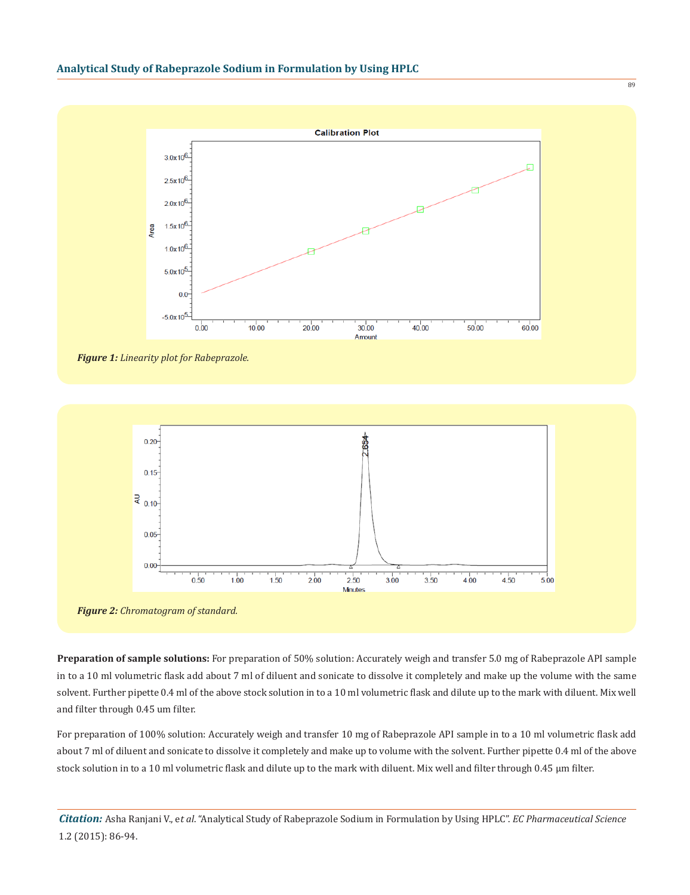

*Figure 1: Linearity plot for Rabeprazole.*



*Figure 2: Chromatogram of standard.*

**Preparation of sample solutions:** For preparation of 50% solution: Accurately weigh and transfer 5.0 mg of Rabeprazole API sample in to a 10 ml volumetric flask add about 7 ml of diluent and sonicate to dissolve it completely and make up the volume with the same solvent. Further pipette 0.4 ml of the above stock solution in to a 10 ml volumetric flask and dilute up to the mark with diluent. Mix well and filter through 0.45 um filter.

For preparation of 100% solution: Accurately weigh and transfer 10 mg of Rabeprazole API sample in to a 10 ml volumetric flask add about 7 ml of diluent and sonicate to dissolve it completely and make up to volume with the solvent. Further pipette 0.4 ml of the above stock solution in to a 10 ml volumetric flask and dilute up to the mark with diluent. Mix well and filter through 0.45 μm filter.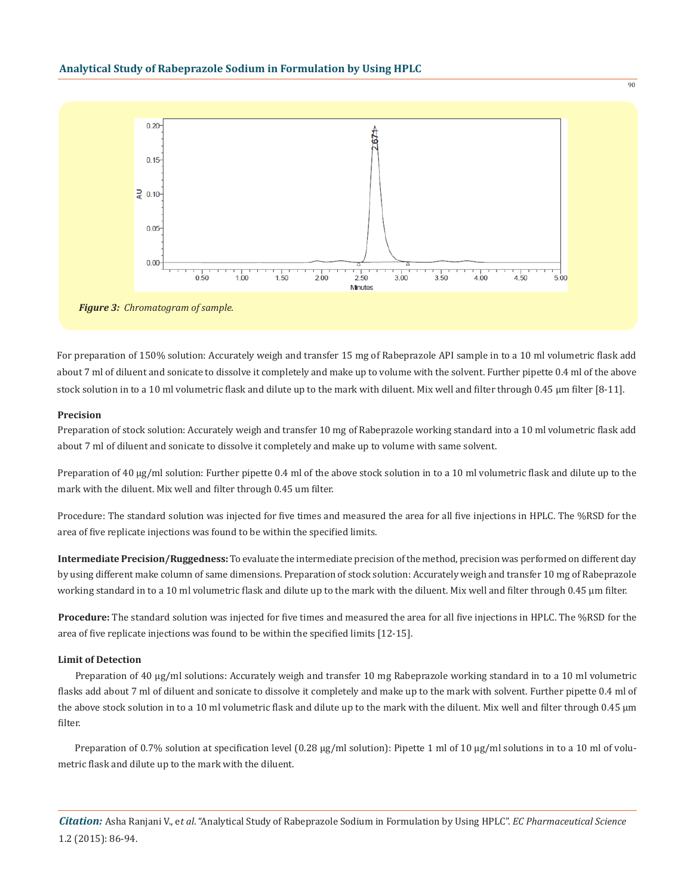

*Figure 3: Chromatogram of sample.*

For preparation of 150% solution: Accurately weigh and transfer 15 mg of Rabeprazole API sample in to a 10 ml volumetric flask add about 7 ml of diluent and sonicate to dissolve it completely and make up to volume with the solvent. Further pipette 0.4 ml of the above stock solution in to a 10 ml volumetric flask and dilute up to the mark with diluent. Mix well and filter through 0.45 μm filter [8-11].

#### **Precision**

Preparation of stock solution: Accurately weigh and transfer 10 mg of Rabeprazole working standard into a 10 ml volumetric flask add about 7 ml of diluent and sonicate to dissolve it completely and make up to volume with same solvent.

Preparation of 40 μg/ml solution: Further pipette 0.4 ml of the above stock solution in to a 10 ml volumetric flask and dilute up to the mark with the diluent. Mix well and filter through 0.45 um filter.

Procedure: The standard solution was injected for five times and measured the area for all five injections in HPLC. The %RSD for the area of five replicate injections was found to be within the specified limits.

**Intermediate Precision/Ruggedness:** To evaluate the intermediate precision of the method, precision was performed on different day by using different make column of same dimensions. Preparation of stock solution: Accurately weigh and transfer 10 mg of Rabeprazole working standard in to a 10 ml volumetric flask and dilute up to the mark with the diluent. Mix well and filter through 0.45 μm filter.

**Procedure:** The standard solution was injected for five times and measured the area for all five injections in HPLC. The %RSD for the area of five replicate injections was found to be within the specified limits [12-15].

#### **Limit of Detection**

Preparation of 40 μg/ml solutions: Accurately weigh and transfer 10 mg Rabeprazole working standard in to a 10 ml volumetric flasks add about 7 ml of diluent and sonicate to dissolve it completely and make up to the mark with solvent. Further pipette 0.4 ml of the above stock solution in to a 10 ml volumetric flask and dilute up to the mark with the diluent. Mix well and filter through 0.45 μm filter.

Preparation of 0.7% solution at specification level (0.28 μg/ml solution): Pipette 1 ml of 10 μg/ml solutions in to a 10 ml of volumetric flask and dilute up to the mark with the diluent.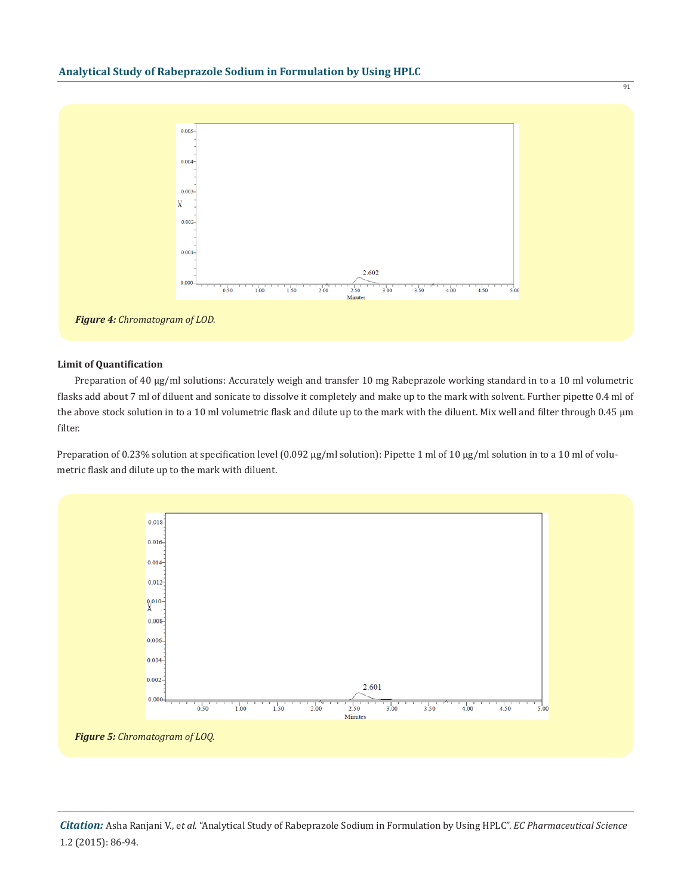

#### **Limit of Quantification**

Preparation of 40 μg/ml solutions: Accurately weigh and transfer 10 mg Rabeprazole working standard in to a 10 ml volumetric flasks add about 7 ml of diluent and sonicate to dissolve it completely and make up to the mark with solvent. Further pipette 0.4 ml of the above stock solution in to a 10 ml volumetric flask and dilute up to the mark with the diluent. Mix well and filter through 0.45 μm filter.

Preparation of 0.23% solution at specification level (0.092 μg/ml solution): Pipette 1 ml of 10 μg/ml solution in to a 10 ml of volumetric flask and dilute up to the mark with diluent.

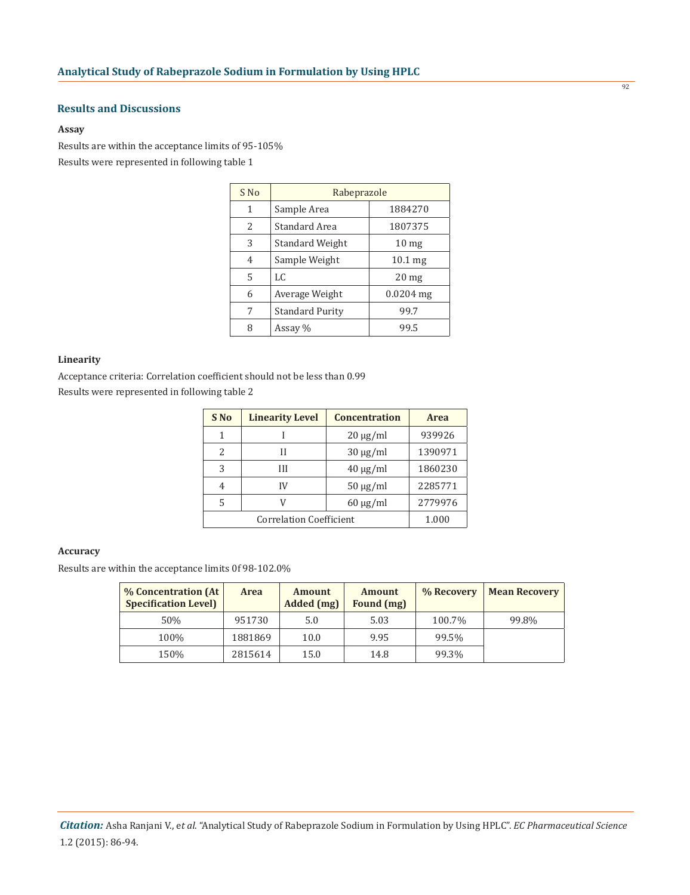## **Results and Discussions**

#### **Assay**

Results are within the acceptance limits of 95-105% Results were represented in following table 1

| S No | Rabeprazole            |                  |  |
|------|------------------------|------------------|--|
| 1    | Sample Area            | 1884270          |  |
| 2    | Standard Area          | 1807375          |  |
| 3    | Standard Weight        | 10 <sub>mg</sub> |  |
| 4    | Sample Weight          | 10.1 mg          |  |
| 5    | LC.                    | 20 <sub>mg</sub> |  |
| 6    | Average Weight         | $0.0204$ mg      |  |
| 7    | <b>Standard Purity</b> | 99.7             |  |
| 8    | Assay %                | 99.5             |  |

#### **Linearity**

Acceptance criteria: Correlation coefficient should not be less than 0.99 Results were represented in following table 2

| S <sub>No</sub>                | <b>Linearity Level</b> | <b>Concentration</b> | <b>Area</b> |
|--------------------------------|------------------------|----------------------|-------------|
| 1                              |                        | $20 \mu g/ml$        | 939926      |
| 2                              | Н                      | $30 \mu g/ml$        | 1390971     |
| 3                              | Ш                      | $40 \mu g/ml$        | 1860230     |
| 4                              | IV                     | $50 \mu g/ml$        | 2285771     |
| 5                              | V                      | $60 \mu g/ml$        | 2779976     |
| <b>Correlation Coefficient</b> |                        |                      | 1.000       |

### **Accuracy**

Results are within the acceptance limits 0f 98-102.0%

| % Concentration (At<br><b>Specification Level)</b> | <b>Area</b> | <b>Amount</b><br>Added (mg) | <b>Amount</b><br>Found (mg) | % Recovery | <b>Mean Recovery</b> |
|----------------------------------------------------|-------------|-----------------------------|-----------------------------|------------|----------------------|
| 50%                                                | 951730      | 5.0                         | 5.03                        | 100.7%     | 99.8%                |
| 100%                                               | 1881869     | 10.0                        | 9.95                        | 99.5%      |                      |
| 150%                                               | 2815614     | 15.0                        | 14.8                        | 99.3%      |                      |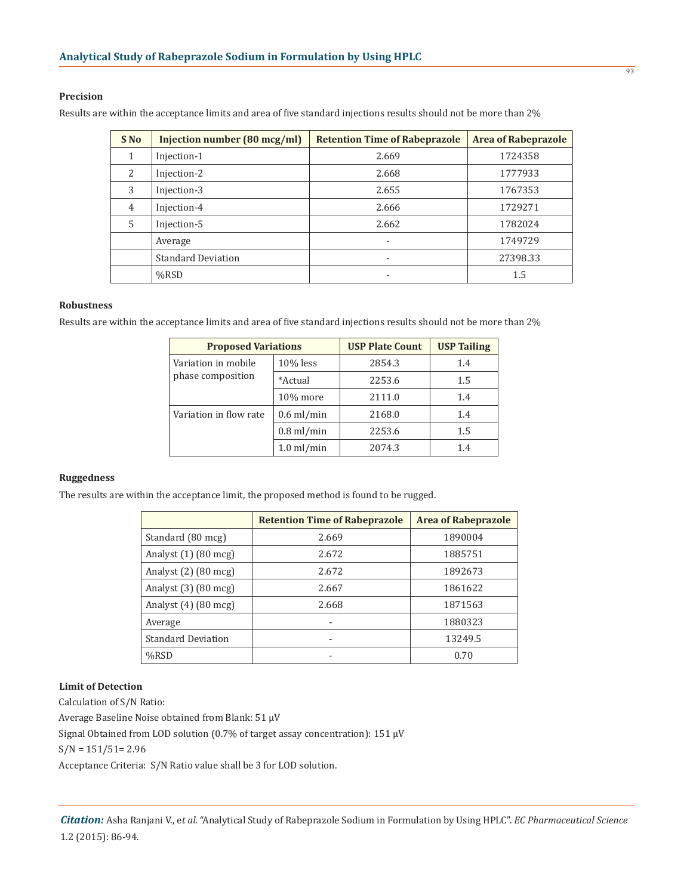### **Precision**

Results are within the acceptance limits and area of five standard injections results should not be more than 2%

| S <sub>No</sub> | Injection number $(80 \text{ mcg/ml})$ | <b>Retention Time of Rabeprazole</b> | <b>Area of Rabeprazole</b> |
|-----------------|----------------------------------------|--------------------------------------|----------------------------|
|                 | Injection-1                            | 2.669                                | 1724358                    |
| $\mathcal{L}$   | Injection-2                            | 2.668                                | 1777933                    |
| 3               | Injection-3                            | 2.655                                | 1767353                    |
| 4               | Injection-4                            | 2.666                                | 1729271                    |
| 5               | Injection-5                            | 2.662                                | 1782024                    |
|                 | Average                                |                                      | 1749729                    |
|                 | <b>Standard Deviation</b>              |                                      | 27398.33                   |
|                 | $%$ RSD                                |                                      | 1.5                        |

#### **Robustness**

Results are within the acceptance limits and area of five standard injections results should not be more than 2%

| <b>Proposed Variations</b> |                      | <b>USP Plate Count</b> | <b>USP Tailing</b> |
|----------------------------|----------------------|------------------------|--------------------|
| Variation in mobile        | $10\%$ less          | 2854.3                 | 1.4                |
| phase composition          | *Actual              | 2253.6                 | 1.5                |
|                            | 10% more             | 2111.0                 | 1.4                |
| Variation in flow rate     | $0.6$ ml/min         | 2168.0                 | 1.4                |
|                            | $0.8$ ml/min         | 2253.6                 | 1.5                |
|                            | $1.0 \text{ ml/min}$ | 2074.3                 | 1.4                |

#### **Ruggedness**

The results are within the acceptance limit, the proposed method is found to be rugged.

|                                  | <b>Retention Time of Rabeprazole</b> | <b>Area of Rabeprazole</b> |
|----------------------------------|--------------------------------------|----------------------------|
| Standard (80 mcg)                | 2.669                                | 1890004                    |
| Analyst (1) (80 mcg)             | 2.672                                | 1885751                    |
| Analyst $(2)$ $(80 \text{ mcg})$ | 2.672                                | 1892673                    |
| Analyst $(3)$ $(80 \text{ mcg})$ | 2.667                                | 1861622                    |
| Analyst $(4)$ $(80 \text{ mcg})$ | 2.668                                | 1871563                    |
| Average                          |                                      | 1880323                    |
| <b>Standard Deviation</b>        |                                      | 13249.5                    |
| %RSD                             |                                      | 0.70                       |

### **Limit of Detection**

Calculation of S/N Ratio:

Average Baseline Noise obtained from Blank: 51 µV

Signal Obtained from LOD solution (0.7% of target assay concentration): 151 µV

S/N = 151/51= 2.96

Acceptance Criteria: S/N Ratio value shall be 3 for LOD solution.